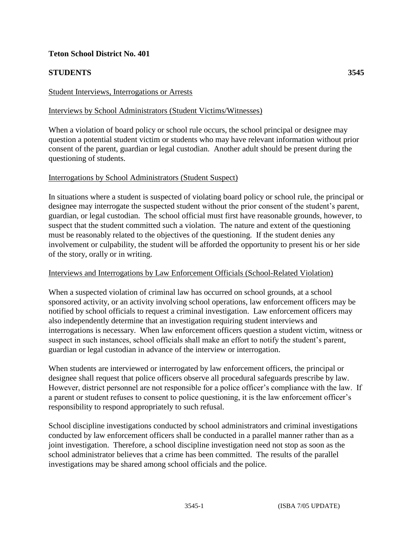# **Teton School District No. 401**

# **STUDENTS 3545**

## Student Interviews, Interrogations or Arrests

## Interviews by School Administrators (Student Victims/Witnesses)

When a violation of board policy or school rule occurs, the school principal or designee may question a potential student victim or students who may have relevant information without prior consent of the parent, guardian or legal custodian. Another adult should be present during the questioning of students.

### Interrogations by School Administrators (Student Suspect)

In situations where a student is suspected of violating board policy or school rule, the principal or designee may interrogate the suspected student without the prior consent of the student's parent, guardian, or legal custodian. The school official must first have reasonable grounds, however, to suspect that the student committed such a violation. The nature and extent of the questioning must be reasonably related to the objectives of the questioning. If the student denies any involvement or culpability, the student will be afforded the opportunity to present his or her side of the story, orally or in writing.

#### Interviews and Interrogations by Law Enforcement Officials (School-Related Violation)

When a suspected violation of criminal law has occurred on school grounds, at a school sponsored activity, or an activity involving school operations, law enforcement officers may be notified by school officials to request a criminal investigation. Law enforcement officers may also independently determine that an investigation requiring student interviews and interrogations is necessary. When law enforcement officers question a student victim, witness or suspect in such instances, school officials shall make an effort to notify the student's parent, guardian or legal custodian in advance of the interview or interrogation.

When students are interviewed or interrogated by law enforcement officers, the principal or designee shall request that police officers observe all procedural safeguards prescribe by law. However, district personnel are not responsible for a police officer's compliance with the law. If a parent or student refuses to consent to police questioning, it is the law enforcement officer's responsibility to respond appropriately to such refusal.

School discipline investigations conducted by school administrators and criminal investigations conducted by law enforcement officers shall be conducted in a parallel manner rather than as a joint investigation. Therefore, a school discipline investigation need not stop as soon as the school administrator believes that a crime has been committed. The results of the parallel investigations may be shared among school officials and the police.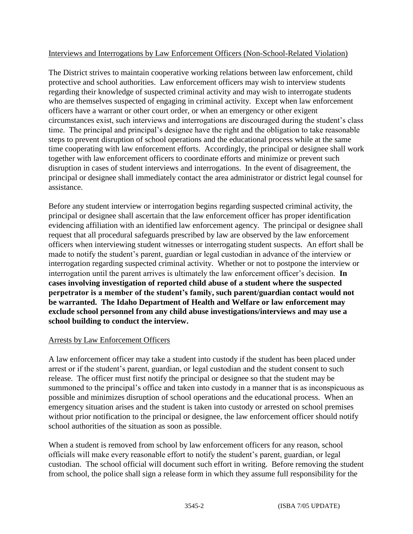# Interviews and Interrogations by Law Enforcement Officers (Non-School-Related Violation)

The District strives to maintain cooperative working relations between law enforcement, child protective and school authorities. Law enforcement officers may wish to interview students regarding their knowledge of suspected criminal activity and may wish to interrogate students who are themselves suspected of engaging in criminal activity. Except when law enforcement officers have a warrant or other court order, or when an emergency or other exigent circumstances exist, such interviews and interrogations are discouraged during the student's class time. The principal and principal's designee have the right and the obligation to take reasonable steps to prevent disruption of school operations and the educational process while at the same time cooperating with law enforcement efforts. Accordingly, the principal or designee shall work together with law enforcement officers to coordinate efforts and minimize or prevent such disruption in cases of student interviews and interrogations. In the event of disagreement, the principal or designee shall immediately contact the area administrator or district legal counsel for assistance.

Before any student interview or interrogation begins regarding suspected criminal activity, the principal or designee shall ascertain that the law enforcement officer has proper identification evidencing affiliation with an identified law enforcement agency. The principal or designee shall request that all procedural safeguards prescribed by law are observed by the law enforcement officers when interviewing student witnesses or interrogating student suspects. An effort shall be made to notify the student's parent, guardian or legal custodian in advance of the interview or interrogation regarding suspected criminal activity. Whether or not to postpone the interview or interrogation until the parent arrives is ultimately the law enforcement officer's decision. **In cases involving investigation of reported child abuse of a student where the suspected perpetrator is a member of the student's family, such parent/guardian contact would not be warranted. The Idaho Department of Health and Welfare or law enforcement may exclude school personnel from any child abuse investigations/interviews and may use a school building to conduct the interview.** 

## Arrests by Law Enforcement Officers

A law enforcement officer may take a student into custody if the student has been placed under arrest or if the student's parent, guardian, or legal custodian and the student consent to such release. The officer must first notify the principal or designee so that the student may be summoned to the principal's office and taken into custody in a manner that is as inconspicuous as possible and minimizes disruption of school operations and the educational process. When an emergency situation arises and the student is taken into custody or arrested on school premises without prior notification to the principal or designee, the law enforcement officer should notify school authorities of the situation as soon as possible.

When a student is removed from school by law enforcement officers for any reason, school officials will make every reasonable effort to notify the student's parent, guardian, or legal custodian. The school official will document such effort in writing. Before removing the student from school, the police shall sign a release form in which they assume full responsibility for the